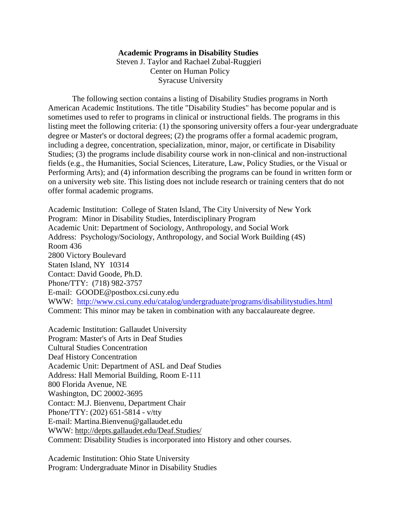## **Academic Programs in Disability Studies**

 Steven J. Taylor and Rachael Zubal-Ruggieri Center on Human Policy Syracuse University

The following section contains a listing of Disability Studies programs in North American Academic Institutions. The title "Disability Studies" has become popular and is sometimes used to refer to programs in clinical or instructional fields. The programs in this listing meet the following criteria: (1) the sponsoring university offers a four-year undergraduate degree or Master's or doctoral degrees; (2) the programs offer a formal academic program, including a degree, concentration, specialization, minor, major, or certificate in Disability Studies; (3) the programs include disability course work in non-clinical and non-instructional fields (e.g., the Humanities, Social Sciences, Literature, Law, Policy Studies, or the Visual or Performing Arts); and (4) information describing the programs can be found in written form or on a university web site. This listing does not include research or training centers that do not offer formal academic programs.

Academic Institution: College of Staten Island, The City University of New York Program: Minor in Disability Studies, Interdisciplinary Program Academic Unit: Department of Sociology, Anthropology, and Social Work Address: Psychology/Sociology, Anthropology, and Social Work Building (4S) Room 436 2800 Victory Boulevard Staten Island, NY 10314 Contact: David Goode, Ph.D. Phone/TTY: (718) 982-3757 E-mail: GOODE@postbox.csi.cuny.edu WWW: <http://www.csi.cuny.edu/catalog/undergraduate/programs/disabilitystudies.html> Comment: This minor may be taken in combination with any baccalaureate degree.

Academic Institution: Gallaudet University Program: Master's of Arts in Deaf Studies Cultural Studies Concentration Deaf History Concentration Academic Unit: Department of ASL and Deaf Studies Address: Hall Memorial Building, Room E-111 800 Florida Avenue, NE Washington, DC 20002-3695 Contact: M.J. Bienvenu, Department Chair Phone/TTY: (202) 651-5814 - v/tty E-mail: Martina.Bienvenu@gallaudet.edu WWW:<http://depts.gallaudet.edu/Deaf.Studies/> Comment: Disability Studies is incorporated into History and other courses.

Academic Institution: Ohio State University Program: Undergraduate Minor in Disability Studies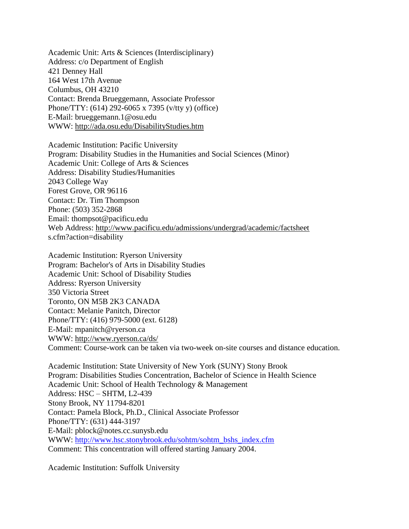Academic Unit: Arts & Sciences (Interdisciplinary) Address: c/o Department of English 421 Denney Hall 164 West 17th Avenue Columbus, OH 43210 Contact: Brenda Brueggemann, Associate Professor Phone/TTY: (614) 292-6065 x 7395 (v/tty y) (office) E-Mail: brueggemann.1@osu.edu WWW:<http://ada.osu.edu/DisabilityStudies.htm>

Academic Institution: Pacific University Program: Disability Studies in the Humanities and Social Sciences (Minor) Academic Unit: College of Arts & Sciences Address: Disability Studies/Humanities 2043 College Way Forest Grove, OR 96116 Contact: Dr. Tim Thompson Phone: (503) 352-2868 Email: thompsot@pacificu.edu Web Address:<http://www.pacificu.edu/admissions/undergrad/academic/factsheet> s.cfm?action=disability

Academic Institution: Ryerson University Program: Bachelor's of Arts in Disability Studies Academic Unit: School of Disability Studies Address: Ryerson University 350 Victoria Street Toronto, ON M5B 2K3 CANADA Contact: Melanie Panitch, Director Phone/TTY: (416) 979-5000 (ext. 6128) E-Mail: mpanitch@ryerson.ca WWW:<http://www.ryerson.ca/ds/> Comment: Course-work can be taken via two-week on-site courses and distance education.

Academic Institution: State University of New York (SUNY) Stony Brook Program: Disabilities Studies Concentration, Bachelor of Science in Health Science Academic Unit: School of Health Technology & Management Address: HSC – SHTM, L2-439 Stony Brook, NY 11794-8201 Contact: Pamela Block, Ph.D., Clinical Associate Professor Phone/TTY: (631) 444-3197 E-Mail: pblock@notes.cc.sunysb.edu WWW: [http://www.hsc.stonybrook.edu/sohtm/sohtm\\_bshs\\_index.cfm](http://www.hsc.stonybrook.edu/sohtm/sohtm_bshs_index.cfm) Comment: This concentration will offered starting January 2004.

Academic Institution: Suffolk University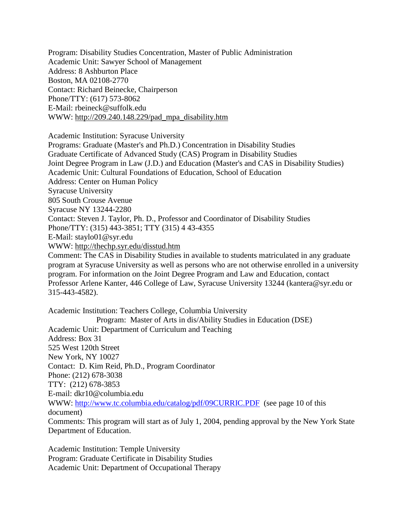Program: Disability Studies Concentration, Master of Public Administration Academic Unit: Sawyer School of Management Address: 8 Ashburton Place Boston, MA 02108-2770 Contact: Richard Beinecke, Chairperson Phone/TTY: (617) 573-8062 E-Mail: rbeineck@suffolk.edu WWW: [http://209.240.148.229/pad\\_mpa\\_disability.htm](http://209.240.148.229/pad_mpa_disability.htm)

Academic Institution: Syracuse University Programs: Graduate (Master's and Ph.D.) Concentration in Disability Studies Graduate Certificate of Advanced Study (CAS) Program in Disability Studies Joint Degree Program in Law (J.D.) and Education (Master's and CAS in Disability Studies) Academic Unit: Cultural Foundations of Education, School of Education Address: Center on Human Policy Syracuse University 805 South Crouse Avenue Syracuse NY 13244-2280 Contact: Steven J. Taylor, Ph. D., Professor and Coordinator of Disability Studies Phone/TTY: (315) 443-3851; TTY (315) 4 43-4355 E-Mail: staylo01@syr.edu WWW:<http://thechp.syr.edu/disstud.htm> Comment: The CAS in Disability Studies in available to students matriculated in any graduate program at Syracuse University as well as persons who are not otherwise enrolled in a university program. For information on the Joint Degree Program and Law and Education, contact

Professor Arlene Kanter, 446 College of Law, Syracuse University 13244 (kantera@syr.edu or 315-443-4582).

Academic Institution: Teachers College, Columbia University

Program: Master of Arts in dis/Ability Studies in Education (DSE) Academic Unit: Department of Curriculum and Teaching Address: Box 31 525 West 120th Street New York, NY 10027 Contact: D. Kim Reid, Ph.D., Program Coordinator Phone: (212) 678-3038 TTY: (212) 678-3853 E-mail: dkr10@columbia.edu WWW:<http://www.tc.columbia.edu/catalog/pdf/09CURRIC.PDF> (see page 10 of this document) Comments: This program will start as of July 1, 2004, pending approval by the New York State Department of Education.

Academic Institution: Temple University Program: Graduate Certificate in Disability Studies Academic Unit: Department of Occupational Therapy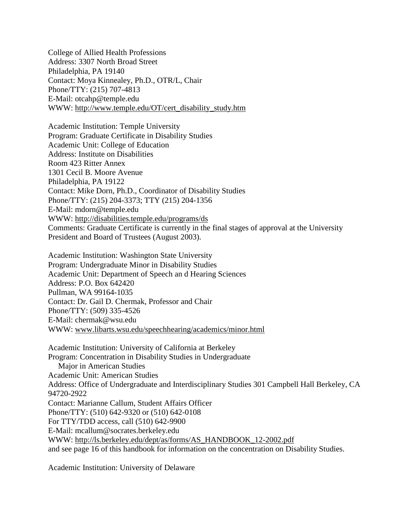College of Allied Health Professions Address: 3307 North Broad Street Philadelphia, PA 19140 Contact: Moya Kinnealey, Ph.D., OTR/L, Chair Phone/TTY: (215) 707-4813 E-Mail: otcahp@temple.edu WWW: [http://www.temple.edu/OT/cert\\_disability\\_study.htm](http://www.temple.edu/OT/cert_disability_study.htm)

Academic Institution: Temple University Program: Graduate Certificate in Disability Studies Academic Unit: College of Education Address: Institute on Disabilities Room 423 Ritter Annex 1301 Cecil B. Moore Avenue Philadelphia, PA 19122 Contact: Mike Dorn, Ph.D., Coordinator of Disability Studies Phone/TTY: (215) 204-3373; TTY (215) 204-1356 E-Mail: mdorn@temple.edu WWW:<http://disabilities.temple.edu/programs/ds> Comments: Graduate Certificate is currently in the final stages of approval at the University President and Board of Trustees (August 2003).

Academic Institution: Washington State University Program: Undergraduate Minor in Disability Studies Academic Unit: Department of Speech an d Hearing Sciences Address: P.O. Box 642420 Pullman, WA 99164-1035 Contact: Dr. Gail D. Chermak, Professor and Chair Phone/TTY: (509) 335-4526 E-Mail: chermak@wsu.edu WWW: [www.libarts.wsu.edu/speechhearing/academics/minor.html](file://Megan-pc/Documents%20and%20Settings/razubal/Local%20Settings/Temp/www.libarts.wsu.edu/speechhearing/academics/minor.html)

Academic Institution: University of California at Berkeley Program: Concentration in Disability Studies in Undergraduate Major in American Studies Academic Unit: American Studies Address: Office of Undergraduate and Interdisciplinary Studies 301 Campbell Hall Berkeley, CA 94720-2922 Contact: Marianne Callum, Student Affairs Officer Phone/TTY: (510) 642-9320 or (510) 642-0108 For TTY/TDD access, call (510) 642-9900 E-Mail: mcallum@socrates.berkeley.edu WWW: [http://ls.berkeley.edu/dept/as/forms/AS\\_HANDBOOK\\_12-2002.pdf](http://ls.berkeley.edu/dept/as/forms/AS_HANDBOOK_12-2002.pdf) and see page 16 of this handbook for information on the concentration on Disability Studies.

Academic Institution: University of Delaware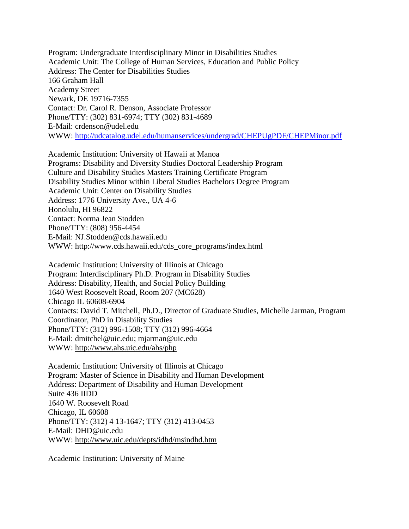Program: Undergraduate Interdisciplinary Minor in Disabilities Studies Academic Unit: The College of Human Services, Education and Public Policy Address: The Center for Disabilities Studies 166 Graham Hall Academy Street Newark, DE 19716-7355 Contact: Dr. Carol R. Denson, Associate Professor Phone/TTY: (302) 831-6974; TTY (302) 831-4689 E-Mail: crdenson@udel.edu WWW:<http://udcatalog.udel.edu/humanservices/undergrad/CHEPUgPDF/CHEPMinor.pdf>

Academic Institution: University of Hawaii at Manoa Programs: Disability and Diversity Studies Doctoral Leadership Program Culture and Disability Studies Masters Training Certificate Program Disability Studies Minor within Liberal Studies Bachelors Degree Program Academic Unit: Center on Disability Studies Address: 1776 University Ave., UA 4-6 Honolulu, HI 96822 Contact: Norma Jean Stodden Phone/TTY: (808) 956-4454 E-Mail: NJ.Stodden@cds.hawaii.edu WWW: [http://www.cds.hawaii.edu/cds\\_core\\_programs/index.html](http://www.cds.hawaii.edu/cds_core_programs/index.html)

Academic Institution: University of Illinois at Chicago Program: Interdisciplinary Ph.D. Program in Disability Studies Address: Disability, Health, and Social Policy Building 1640 West Roosevelt Road, Room 207 (MC628) Chicago IL 60608-6904 Contacts: David T. Mitchell, Ph.D., Director of Graduate Studies, Michelle Jarman, Program Coordinator, PhD in Disability Studies Phone/TTY: (312) 996-1508; TTY (312) 996-4664 E-Mail: dmitchel@uic.edu; mjarman@uic.edu WWW:<http://www.ahs.uic.edu/ahs/php>

Academic Institution: University of Illinois at Chicago Program: Master of Science in Disability and Human Development Address: Department of Disability and Human Development Suite 436 IIDD 1640 W. Roosevelt Road Chicago, IL 60608 Phone/TTY: (312) 4 13-1647; TTY (312) 413-0453 E-Mail: DHD@uic.edu WWW:<http://www.uic.edu/depts/idhd/msindhd.htm>

Academic Institution: University of Maine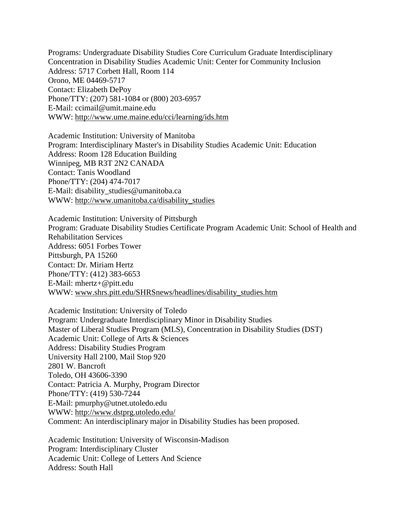Programs: Undergraduate Disability Studies Core Curriculum Graduate Interdisciplinary Concentration in Disability Studies Academic Unit: Center for Community Inclusion Address: 5717 Corbett Hall, Room 114 Orono, ME 04469-5717 Contact: Elizabeth DePoy Phone/TTY: (207) 581-1084 or (800) 203-6957 E-Mail: ccimail@umit.maine.edu WWW:<http://www.ume.maine.edu/cci/learning/ids.htm>

Academic Institution: University of Manitoba Program: Interdisciplinary Master's in Disability Studies Academic Unit: Education Address: Room 128 Education Building Winnipeg, MB R3T 2N2 CANADA Contact: Tanis Woodland Phone/TTY: (204) 474-7017 E-Mail: disability\_studies@umanitoba.ca WWW: [http://www.umanitoba.ca/disability\\_studies](http://www.umanitoba.ca/disability_studies)

Academic Institution: University of Pittsburgh Program: Graduate Disability Studies Certificate Program Academic Unit: School of Health and Rehabilitation Services Address: 6051 Forbes Tower Pittsburgh, PA 15260 Contact: Dr. Miriam Hertz Phone/TTY: (412) 383-6653 E-Mail: mhertz+@pitt.edu WWW: [www.shrs.pitt.edu/SHRSnews/headlines/disability\\_studies.htm](file://Megan-pc/DOCUME~1/razubal/LOCALS~1/Temp/www.shrs.pitt.edu/SHRSnews/headlines/disability_studies.htm)

Academic Institution: University of Toledo Program: Undergraduate Interdisciplinary Minor in Disability Studies Master of Liberal Studies Program (MLS), Concentration in Disability Studies (DST) Academic Unit: College of Arts & Sciences Address: Disability Studies Program University Hall 2100, Mail Stop 920 2801 W. Bancroft Toledo, OH 43606-3390 Contact: Patricia A. Murphy, Program Director Phone/TTY: (419) 530-7244 E-Mail: pmurphy@utnet.utoledo.edu WWW:<http://www.dstprg.utoledo.edu/> Comment: An interdisciplinary major in Disability Studies has been proposed.

Academic Institution: University of Wisconsin-Madison Program: Interdisciplinary Cluster Academic Unit: College of Letters And Science Address: South Hall